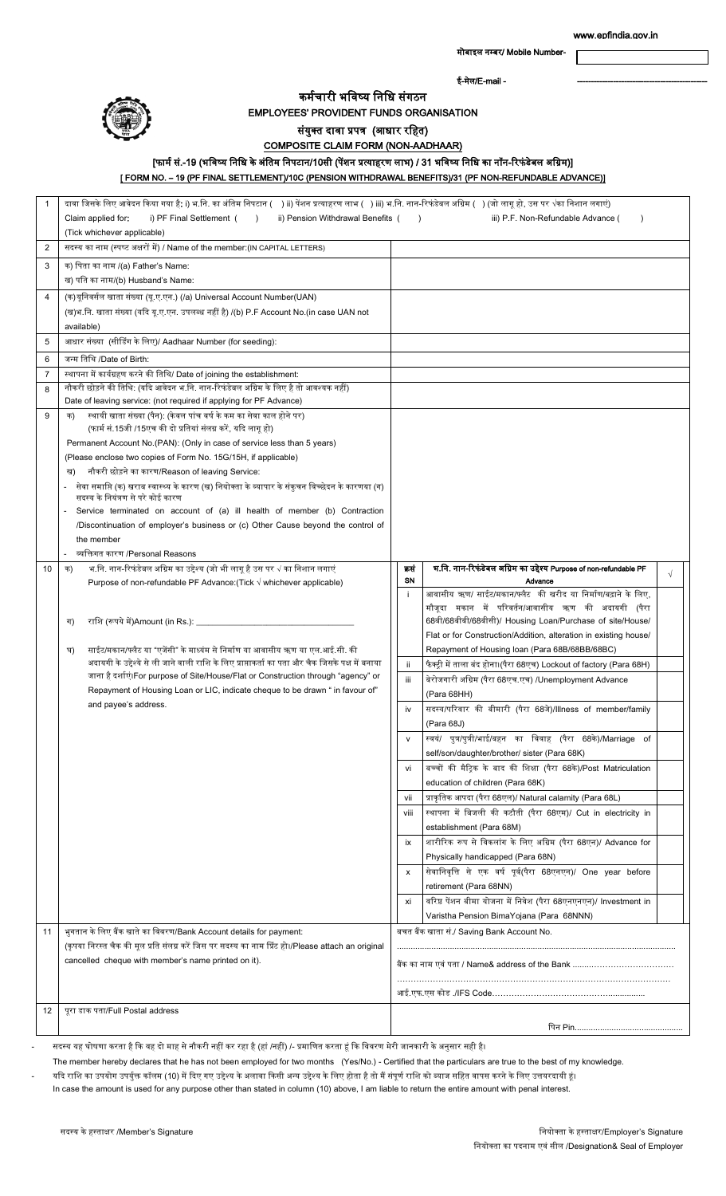मोबाइल नम्बर/ Mobile Number-

ई-मेल/E-mail -

#### कर्मचारी भविष्य विवि संगठि

EMPLOYEES' PROVIDENT FUNDS ORGANISATION

### संयुक्त दावा प्रपत्र (आधार रहित)

# COMPOSITE CLAIM FORM (NON-AADHAAR)

## [फार्म सं.-19 (भविष्य निधि के अंतिम निपटान/10सी (पेंशन प्रत्याहरण लाभ) / 31 भविष्य निधि का नॉन-रिफंडेबल अग्रिम)]

[ FORM NO. – 19 (PF FINAL SETTLEMENT)/10C (PENSION WITHDRAWAL BENEFITS)/31 (PF NON-REFUNDABLE ADVANCE)]

| 1              | दावा जिसके लिए आवेदन किया गया है: i) भ.नि. का अंतिम निपटान (   ) ii) पेंशन प्रत्याहरण लाभ (  ) iii) भ.नि. नान-रिफंडेबल अग्रिम (  ) (जो लागू हो, उस पर √का निशान लगाएं)<br>i) PF Final Settlement (<br>ii) Pension Withdrawal Benefits (<br>Claim applied for:<br>$\lambda$<br>iii) P.F. Non-Refundable Advance (<br>$\rightarrow$<br>(Tick whichever applicable) |                                            |                                                                                                                   |            |
|----------------|------------------------------------------------------------------------------------------------------------------------------------------------------------------------------------------------------------------------------------------------------------------------------------------------------------------------------------------------------------------|--------------------------------------------|-------------------------------------------------------------------------------------------------------------------|------------|
| $\overline{2}$ | सदस्य का नाम (स्पष्ट अक्षरों में) / Name of the member:(IN CAPITAL LETTERS)                                                                                                                                                                                                                                                                                      |                                            |                                                                                                                   |            |
| 3              | क) पिता का नाम /(a) Father's Name:<br>ख) पति का नाम/(b) Husband's Name:                                                                                                                                                                                                                                                                                          |                                            |                                                                                                                   |            |
| $\overline{4}$ | (क)यूनिवर्सल खाता संख्या (यू.ए.एन.) (/a) Universal Account Number(UAN)                                                                                                                                                                                                                                                                                           |                                            |                                                                                                                   |            |
|                | (ख)भ नि. खाता संख्या (यदि यू.ए.एन. उपलब्ध नहीं है) /(b) P.F Account No.(in case UAN not                                                                                                                                                                                                                                                                          |                                            |                                                                                                                   |            |
|                | available)                                                                                                                                                                                                                                                                                                                                                       |                                            |                                                                                                                   |            |
| 5              | आधार संख्या (सीडिंग के लिए)/ Aadhaar Number (for seeding):                                                                                                                                                                                                                                                                                                       |                                            |                                                                                                                   |            |
| 6              | जन्म तिथि /Date of Birth:                                                                                                                                                                                                                                                                                                                                        |                                            |                                                                                                                   |            |
| $\overline{7}$ | स्थापना में कार्यग्रहण करने की तिथि/ Date of joining the establishment:                                                                                                                                                                                                                                                                                          |                                            |                                                                                                                   |            |
| 8              | नौकरी छोड़ने की तिथि: (यदि आवेदन भ.नि. नान-रिफंडेबल अग्रिम के लिए है तो आवश्यक नहीं)                                                                                                                                                                                                                                                                             |                                            |                                                                                                                   |            |
|                | Date of leaving service: (not required if applying for PF Advance)                                                                                                                                                                                                                                                                                               |                                            |                                                                                                                   |            |
| 9              | स्थायी खाता संख्या (पैन): (केवल पांच वर्ष के कम का सेवा काल होने पर)<br>क)                                                                                                                                                                                                                                                                                       |                                            |                                                                                                                   |            |
|                | (फार्म सं.15जी /15एच की दो प्रतियां संलग्न करें, यदि लागू हो)                                                                                                                                                                                                                                                                                                    |                                            |                                                                                                                   |            |
|                | Permanent Account No.(PAN): (Only in case of service less than 5 years)<br>(Please enclose two copies of Form No. 15G/15H, if applicable)                                                                                                                                                                                                                        |                                            |                                                                                                                   |            |
|                | नौकरी छोड़ने का कारण/Reason of leaving Service:                                                                                                                                                                                                                                                                                                                  |                                            |                                                                                                                   |            |
|                | सेवा समाप्ति (क) खराब स्वास्थ्य के कारण (ख) नियोक्ता के व्यापार के संकुचन विच्छेदन के कारणया (ग)                                                                                                                                                                                                                                                                 |                                            |                                                                                                                   |            |
|                | सदस्य के नियंत्रण से परे कोई कारण                                                                                                                                                                                                                                                                                                                                |                                            |                                                                                                                   |            |
|                | Service terminated on account of (a) ill health of member (b) Contraction                                                                                                                                                                                                                                                                                        |                                            |                                                                                                                   |            |
|                | /Discontinuation of employer's business or (c) Other Cause beyond the control of                                                                                                                                                                                                                                                                                 |                                            |                                                                                                                   |            |
|                | the member                                                                                                                                                                                                                                                                                                                                                       |                                            |                                                                                                                   |            |
|                | व्यक्तिगत कारण /Personal Reasons                                                                                                                                                                                                                                                                                                                                 |                                            |                                                                                                                   |            |
| 10             | भ.नि. नान-रिफंडेबल अग्रिम का उद्देश्य (जो भी लागू है उस पर √ का निशान लगाएं<br>क)<br>Purpose of non-refundable PF Advance: (Tick $\sqrt{}$ whichever applicable)                                                                                                                                                                                                 | कसं<br>SN                                  | भ.नि. नान-रिफंडेबल अग्रिम का उद्देश्य Purpose of non-refundable PF<br>Advance                                     | $\sqrt{ }$ |
|                |                                                                                                                                                                                                                                                                                                                                                                  | -i.                                        | आवासीय ऋण/ साईट/मकान/फ्लैट की खरीद या निर्माण/बढ़ाने के लिए,                                                      |            |
|                |                                                                                                                                                                                                                                                                                                                                                                  |                                            | मौजूदा मकान में परिवर्तन/आवासीय ऋण की अदायगी (पैरा                                                                |            |
|                | राशि (रूपये में)Amount (in Rs.): ________________<br>ग)                                                                                                                                                                                                                                                                                                          |                                            | 68बी/68बीबी/68बीसी)/ Housing Loan/Purchase of site/House/                                                         |            |
|                |                                                                                                                                                                                                                                                                                                                                                                  |                                            | Flat or for Construction/Addition, alteration in existing house/                                                  |            |
|                | साईट/मकान/फ्लैट या "एजेंसी" के माध्यंम से निर्माण या आवासीय ऋण या एल.आई.सी. की<br>घ)                                                                                                                                                                                                                                                                             |                                            | Repayment of Housing loan (Para 68B/68BB/68BC)                                                                    |            |
|                | अदायगी के उद्देश्ये से ली जाने वाली राशि के लिए प्राप्ताकर्ता का पता और चैक जिसके पक्ष में बनाया                                                                                                                                                                                                                                                                 | -ii                                        | फैक्ट्री में ताला बंद होना।(पैरा 68एच) Lockout of factory (Para 68H)                                              |            |
|                | जाना है दर्शाएं।For purpose of Site/House/Flat or Construction through "agency" or<br>Repayment of Housing Loan or LIC, indicate cheque to be drawn " in favour of"                                                                                                                                                                                              | iii                                        | बेरोजगारी अग्रिम (पैरा 68एच.एच) /Unemployment Advance                                                             |            |
|                | and payee's address.                                                                                                                                                                                                                                                                                                                                             |                                            | (Para 68HH)                                                                                                       |            |
|                |                                                                                                                                                                                                                                                                                                                                                                  | iv                                         | सदस्य/परिवार की बीमारी (पैरा 68जे)/Illness of member/family                                                       |            |
|                |                                                                                                                                                                                                                                                                                                                                                                  |                                            | (Para 68J)<br>स्वयं/ पुत्र/पुत्री/भाई/बहन का विवाह (पैरा 68के)/Marriage of                                        |            |
|                |                                                                                                                                                                                                                                                                                                                                                                  | V                                          |                                                                                                                   |            |
|                |                                                                                                                                                                                                                                                                                                                                                                  | vi                                         | self/son/daughter/brother/ sister (Para 68K)<br>बच्चों की मैट्रिक के बाद की शिक्षा (पैरा 68के)/Post Matriculation |            |
|                |                                                                                                                                                                                                                                                                                                                                                                  |                                            | education of children (Para 68K)                                                                                  |            |
|                |                                                                                                                                                                                                                                                                                                                                                                  | vii                                        | प्राकृतिक आपदा (पैरा 68एल)/ Natural calamity (Para 68L)                                                           |            |
|                |                                                                                                                                                                                                                                                                                                                                                                  | viii                                       | स्थापना में बिजली की कटौती (पैरा 68एम)/ Cut in electricity in                                                     |            |
|                |                                                                                                                                                                                                                                                                                                                                                                  |                                            | establishment (Para 68M)                                                                                          |            |
|                |                                                                                                                                                                                                                                                                                                                                                                  | ix                                         | शारीरिक रूप से विकलांग के लिए अग्रिम (पैरा 68एन)/ Advance for                                                     |            |
|                |                                                                                                                                                                                                                                                                                                                                                                  |                                            | Physically handicapped (Para 68N)                                                                                 |            |
|                |                                                                                                                                                                                                                                                                                                                                                                  | x                                          | सेवानिवृत्ति से एक वर्ष पूर्व(पैरा 68एनएन)/ One year before                                                       |            |
|                |                                                                                                                                                                                                                                                                                                                                                                  |                                            | retirement (Para 68NN)                                                                                            |            |
|                |                                                                                                                                                                                                                                                                                                                                                                  | xi                                         | वरिष्ठ पेंशन बीमा योजना में निवेश (पैरा 68एनएनएन)/ Investment in                                                  |            |
|                |                                                                                                                                                                                                                                                                                                                                                                  |                                            | Varistha Pension BimaYojana (Para 68NNN)                                                                          |            |
| 11             | भुगतान के लिए बैंक खाते का विवरण/Bank Account details for payment:                                                                                                                                                                                                                                                                                               | बचत बैंक खाता सं./ Saving Bank Account No. |                                                                                                                   |            |
|                | (कृपया निरस्त चैक की मूल प्रति संलग्न करें जिस पर सदस्य का नाम प्रिंट हो।/Please attach an original                                                                                                                                                                                                                                                              |                                            |                                                                                                                   |            |
|                | cancelled cheque with member's name printed on it).                                                                                                                                                                                                                                                                                                              |                                            |                                                                                                                   |            |
|                |                                                                                                                                                                                                                                                                                                                                                                  |                                            |                                                                                                                   |            |
|                |                                                                                                                                                                                                                                                                                                                                                                  | आई.एफ.एस कोड ./IFS Code………………………………………………  |                                                                                                                   |            |
| 12             | पूरा डाक पता/Full Postal address                                                                                                                                                                                                                                                                                                                                 |                                            |                                                                                                                   |            |
|                |                                                                                                                                                                                                                                                                                                                                                                  |                                            |                                                                                                                   |            |

सदस्य यह घोषणा करता है कि वह दो माह से नौकरी नहीं कर रहा है (हां /नहीं) /- प्रमाणित करता हूं कि विवरण मेरी जानकारी के अनुसार सही है।

The member hereby declares that he has not been employed for two months (Yes/No.) - Certified that the particulars are true to the best of my knowledge.

यदि राशि का उपयोग उपर्युक्त कॉलम (10) में दिए गए उद्देश्य के अलावा किसी अन्य उद्देश्य के लिए होता है तो मैं संपूर्ण राशि को ब्याज सहित वापस करने के लिए उत्तयरदायी हूं।

In case the amount is used for any purpose other than stated in column (10) above, I am liable to return the entire amount with penal interest.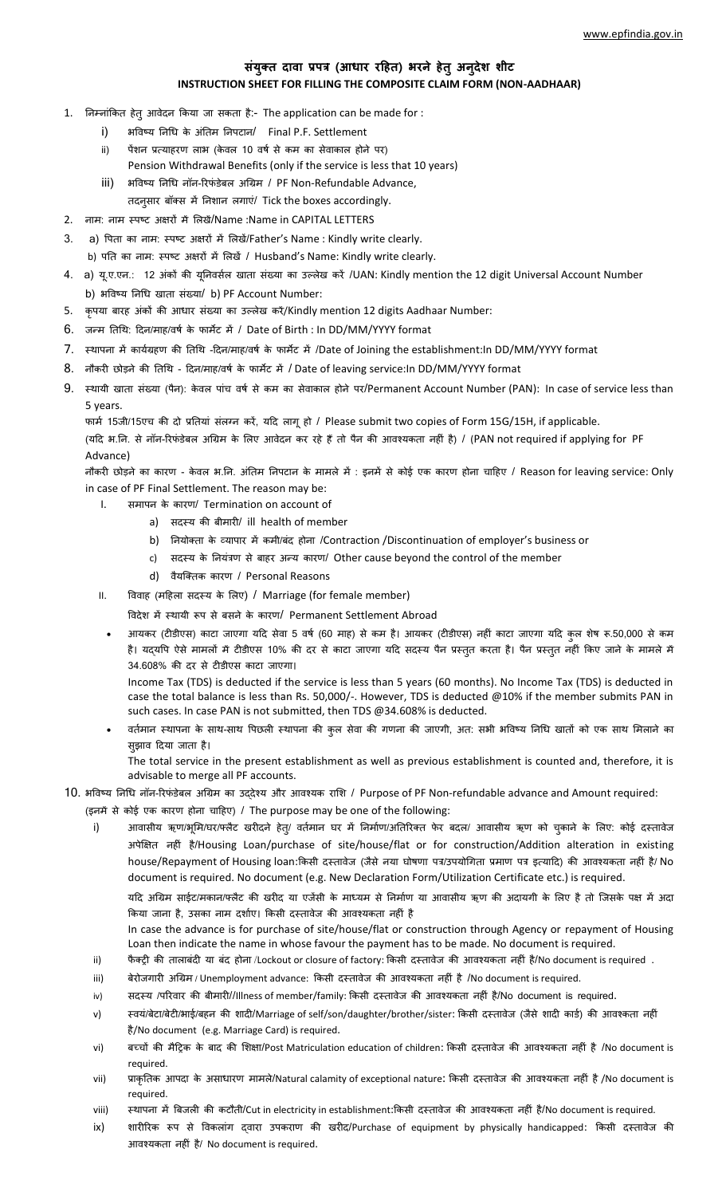### **संयुक्त दावा प्रपत्र (आधार रहित) भरने िेतुअनुदेश शीट INSTRUCTION SHEET FOR FILLING THE COMPOSITE CLAIM FORM (NON-AADHAAR)**

- 1. निम्नांकित हेत् आवेदन किया जा सकता है:- The application can be made for :
	- i) भविष्य निधि के अंतिम निपटान/ Final P.F. Settlement
	- ii) पेंशन प्रत्याहरण लाभ (केवल 10 वर्ष से कम का सेवाकाल होने पर) Pension Withdrawal Benefits (only if the service is less that 10 years)
	- iii) भविष्य निधि नॉन-रिफंडेबल अग्रिम / PF Non-Refundable Advance,
		- तदनुसार बॉक्स में निशान लगाएं/ Tick the boxes accordingly.
- 2. नाम: नाम स्पष्ट अक्षरों में लिखें/Name :Name in CAPITAL LETTERS
- 3. a) पिता का नाम: स्पष्ट अक्षरों में लिखें/Father's Name : Kindly write clearly. b) पति का नाम: स्पष्ट अक्षरों में लिखें / Husband's Name: Kindly write clearly.
- 4. a) यू.ए.एन.: 12 अंकों की यूनिवर्सल खाता संख्या का उल्लेख करें /UAN: Kindly mention the 12 digit Universal Account Number b) भविष्य निधि खाता संख्या/ b) PF Account Number:
- 5. कृपया बारह अंकों की आधार संख्या का उल्लेख करें/Kindly mention 12 digits Aadhaar Number:
- 6. जन्म तिथि: दिन/माह/वर्ष के फार्मेट में / Date of Birth : In DD/MM/YYYY format
- 7. स्थापना में कार्यग्रहण की तिथि -दिन/माह/वर्ष के फार्मेट में /Date of Joining the establishment:In DD/MM/YYYY format
- 8. नौकरी छोड़ने की तिथि दिन/माह/वर्ष के फार्मेट में / Date of leaving service:In DD/MM/YYYY format
- 9. स्थायी खाता संख्या (पैन): केवल पांच वर्ष से कम का सेवाकाल होने पर/Permanent Account Number (PAN): In case of service less than 5 years.

फार्म 15जी/15एच की दो प्रतियां संलग्न करें, यदि लागू हो / Please submit two copies of Form 15G/15H, if applicable. (यदि भ.नि. से नॉन-रिफंडेबल अग्रिम के लिए आवेदन कर रहे हैं तो पैन की आवश्यकता नहीं है) / (PAN not required if applying for PF Advance)

नौकरी छोड़ने का कारण - केवल भ.नि. अंतिम निपटान के मामले में : इनमें से कोई एक कारण होना चाहिए / Reason for leaving service: Only in case of PF Final Settlement. The reason may be:

- I. समापन के कारण/ Termination on account of
	- a) सदस्य की बीमारी/ ill health of member
	- b) नियोक्ता के व्यापार में कमी/बंद होना /Contraction /Discontinuation of employer's business or
	- c) सदस्य के नियंत्रण से बाहर अन्य कारण/ Other cause beyond the control of the member
	- d) वैयक्तिक कारण / Personal Reasons
- II. विवाह (महिला सदस्य के लिए) / Marriage (for female member)
	- विदेश में स्थायी रूप से बसने के कारण/ Permanent Settlement Abroad
	- आयकर (टीडीएस) काटा जाएगा यदि सेवा 5 वर्ष (60 माह) से कम है। आयकर (टीडीएस) नहीं काटा जाएगा यदि कुल शेष रू.50,000 से कम है। यदयपि ऐसे मामलों में टीडीएस 10% की दर से काटा जाएगा यदि सदस्य पैन प्रस्तुत करता है। पैन प्रस्तुत नहीं किए जाने के मामले में 34.608% की दर से टीडीएस काटा जाएगा।

Income Tax (TDS) is deducted if the service is less than 5 years (60 months). No Income Tax (TDS) is deducted in case the total balance is less than Rs. 50,000/-. However, TDS is deducted @10% if the member submits PAN in such cases. In case PAN is not submitted, then TDS @34.608% is deducted.

वर्तमान स्थापना के साथ-साथ पिछली स्थापना की कुल सेवा की गणना की जाएगी, अत: सभी भविष्य निधि खातों को एक साथ मिलाने का सुझाव दिया जाता है।

The total service in the present establishment as well as previous establishment is counted and, therefore, it is advisable to merge all PF accounts.

#### 10. भविष्य निधि नॉन-रिफंडेबल अग्रिम का उद्देश्य और आवश्यक राशि / Purpose of PF Non-refundable advance and Amount required:

- (इनमें से कोई एक कारण होना चाहिए) / The purpose may be one of the following:
	- i) आवासीय ऋण/भूमि/घर/फ्लैट खरीदने हेत्/ वर्तमान घर में निर्माण/अतिरिक्त फेर बदल/ आवासीय ऋण को चुकाने के लिए: कोई दस्तावेज अपेक्षक्षत् िहीां् है/Housing Loan/purchase of site/house/flat or for construction/Addition alteration in existing house/Repayment of Housing loan:किसी दस्तावेज (जैसे नया घोषणा पत्र/उपयोगिता प्रमाण पत्र इत्यादि) की आवश्यकता नहीं है/ No document is required. No document (e.g. New Declaration Form/Utilization Certificate etc.) is required.

यदि अग्रिम साईट/मकान/फ्लैट की खरीद या एजेंसी के माध्यम से निर्माण या आवासीय ऋण की अदायगी के लिए है तो जिसके पक्ष में अदा किया जाना है, उसका नाम दर्शाए। किसी दस्तावेज की आवश्यकता नहीं है

In case the advance is for purchase of site/house/flat or construction through Agency or repayment of Housing Loan then indicate the name in whose favour the payment has to be made. No document is required.

- ii) फैक्ट्री की तालाबंदी या बंद होना /Lockout or closure of factory: किसी दस्तावेज की आवश्यकता नहीं है/No document is required.
- iii) बेरोजगारी अग्रिम / Unemployment advance: किसी दस्तावेज की आवश्यकता नहीं है /No document is required.
- iv) सदस्य /परिवार की बीमारी//Illness of member/family: किसी दस्तावेज की आवश्यकता नहीं है/No document is required.
- v) स्वयं/बेटा/बेटी/भाई/बहन की शादी/Marriage of self/son/daughter/brother/sister: किसी दस्तावेज (जैसे शादी कार्ड) की आवश्कता नहीं है/No document (e.g. Marriage Card) is required.
- vi) बच्चों की मैट्रिक के बाद की शिक्षा/Post Matriculation education of children: किसी दस्तावेज की आवश्यकता नहीं है /No document is required.
- vii) प्राकृतिक आपदा के असाधारण मामले/Natural calamity of exceptional nature: किसी दस्तावेज की आवश्यकता नहीं है /No document is required.
- viii) स्थापना में बिजली की कटौती/Cut in electricity in establishment:किसी दस्तावेज की आवश्यकता नहीं है/No document is required.
- ix) शारीरिक रूप से विकलांग द्वारा उपकराण की खरीद/Purchase of equipment by physically handicapped: किसी दस्तावेज की आवश्यकता नहीं है/ No document is required.